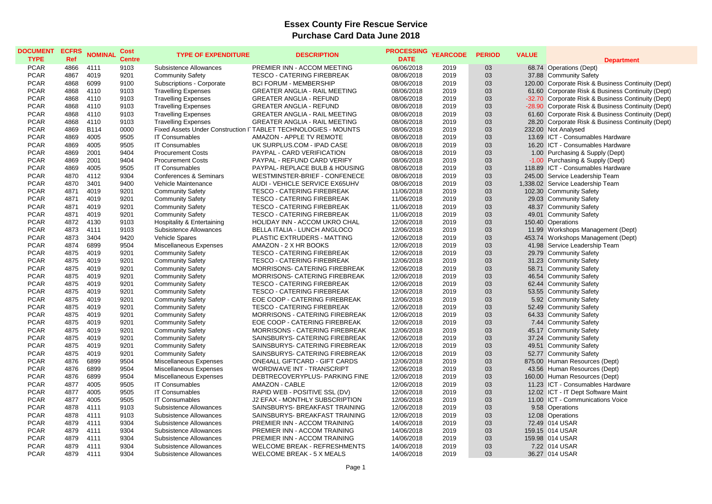| <b>DOCUMENT</b><br><b>TYPE</b> | <b>ECFRS</b><br><b>Ref</b> | <b>NOMINAL</b> | <b>Cost</b><br><b>Centre</b> | <b>TYPE OF EXPENDITURE</b>    | <b>DESCRIPTION</b>                                               | <b>PROCESSING</b><br><b>DATE</b> | <b>YEARCODE</b> | <b>PERIOD</b> | <b>VALUE</b> |                                                    |
|--------------------------------|----------------------------|----------------|------------------------------|-------------------------------|------------------------------------------------------------------|----------------------------------|-----------------|---------------|--------------|----------------------------------------------------|
|                                |                            |                |                              |                               |                                                                  |                                  |                 |               |              | <b>Department</b>                                  |
| <b>PCAR</b><br><b>PCAR</b>     | 4866<br>4867               | 4111<br>4019   | 9103                         | Subsistence Allowances        | PREMIER INN - ACCOM MEETING<br><b>TESCO - CATERING FIREBREAK</b> | 06/06/2018<br>08/06/2018         | 2019<br>2019    | 03            |              | 68.74 Operations (Dept)                            |
|                                |                            |                | 9201                         | <b>Community Safety</b>       |                                                                  |                                  |                 | 03<br>03      |              | 37.88 Community Safety                             |
| <b>PCAR</b>                    | 4868                       | 6099<br>4110   | 9100                         | Subscriptions - Corporate     | <b>BCI FORUM - MEMBERSHIP</b>                                    | 08/06/2018                       | 2019            | 03            |              | 120.00 Corporate Risk & Business Continuity (Dept) |
| <b>PCAR</b><br><b>PCAR</b>     | 4868<br>4868               | 4110           | 9103<br>9103                 | <b>Travelling Expenses</b>    | <b>GREATER ANGLIA - RAIL MEETING</b>                             | 08/06/2018<br>08/06/2018         | 2019<br>2019    | 03            |              | 61.60 Corporate Risk & Business Continuity (Dept)  |
|                                |                            |                |                              | <b>Travelling Expenses</b>    | <b>GREATER ANGLIA - REFUND</b>                                   |                                  |                 |               |              | -32.70 Corporate Risk & Business Continuity (Dept) |
| <b>PCAR</b><br><b>PCAR</b>     | 4868<br>4868               | 4110<br>4110   | 9103<br>9103                 | <b>Travelling Expenses</b>    | <b>GREATER ANGLIA - REFUND</b>                                   | 08/06/2018                       | 2019<br>2019    | 03<br>03      |              | -28.90 Corporate Risk & Business Continuity (Dept) |
| <b>PCAR</b>                    | 4868                       | 4110           | 9103                         | <b>Travelling Expenses</b>    | <b>GREATER ANGLIA - RAIL MEETING</b>                             | 08/06/2018                       | 2019            | 03            |              | 61.60 Corporate Risk & Business Continuity (Dept)  |
|                                |                            |                |                              | <b>Travelling Expenses</b>    | <b>GREATER ANGLIA - RAIL MEETING</b>                             | 08/06/2018                       |                 |               |              | 28.20 Corporate Risk & Business Continuity (Dept)  |
| <b>PCAR</b>                    | 4869                       | <b>B114</b>    | 0000                         |                               | Fixed Assets Under Construction I TABLET TECHNOLOGIES - MOUNTS   | 08/06/2018                       | 2019            | 03            |              | 232.00 Not Analysed                                |
| <b>PCAR</b>                    | 4869                       | 4005           | 9505                         | <b>IT Consumables</b>         | AMAZON - APPLE TV REMOTE                                         | 08/06/2018                       | 2019            | 03<br>03      |              | 13.69 ICT - Consumables Hardware                   |
| <b>PCAR</b>                    | 4869                       | 4005           | 9505                         | <b>IT Consumables</b>         | UK SURPLUS.COM - IPAD CASE                                       | 08/06/2018                       | 2019            |               |              | 16.20 ICT - Consumables Hardware                   |
| <b>PCAR</b>                    | 4869                       | 2001           | 9404                         | <b>Procurement Costs</b>      | PAYPAL - CARD VERIFICATION                                       | 08/06/2018                       | 2019            | 03            |              | 1.00 Purchasing & Supply (Dept)                    |
| <b>PCAR</b>                    | 4869                       | 2001           | 9404                         | <b>Procurement Costs</b>      | PAYPAL - REFUND CARD VERIFY                                      | 08/06/2018                       | 2019            | 03            |              | -1.00 Purchasing & Supply (Dept)                   |
| <b>PCAR</b>                    | 4869                       | 4005           | 9505                         | <b>IT Consumables</b>         | PAYPAL- REPLACE BULB & HOUSING                                   | 08/06/2018                       | 2019            | 03            |              | 118.89 ICT - Consumables Hardware                  |
| <b>PCAR</b>                    | 4870                       | 4112           | 9304                         | Conferences & Seminars        | WESTMINSTER-BRIEF - CONFENECE                                    | 08/06/2018                       | 2019            | 03            |              | 245.00 Service Leadership Team                     |
| <b>PCAR</b>                    | 4870                       | 3401           | 9400                         | Vehicle Maintenance           | AUDI - VEHICLE SERVICE EX65UHV                                   | 08/06/2018                       | 2019            | 03            |              | 1,338.02 Service Leadership Team                   |
| <b>PCAR</b>                    | 4871                       | 4019           | 9201                         | <b>Community Safety</b>       | <b>TESCO - CATERING FIREBREAK</b>                                | 11/06/2018                       | 2019            | 03            |              | 102.30 Community Safety                            |
| <b>PCAR</b>                    | 4871                       | 4019           | 9201                         | <b>Community Safety</b>       | <b>TESCO - CATERING FIREBREAK</b>                                | 11/06/2018                       | 2019            | 03            |              | 29.03 Community Safety                             |
| <b>PCAR</b>                    | 4871                       | 4019           | 9201                         | <b>Community Safety</b>       | <b>TESCO - CATERING FIREBREAK</b>                                | 11/06/2018                       | 2019            | 03            |              | 48.37 Community Safety                             |
| <b>PCAR</b>                    | 4871                       | 4019           | 9201                         | <b>Community Safety</b>       | <b>TESCO - CATERING FIREBREAK</b>                                | 11/06/2018                       | 2019            | 03            |              | 49.01 Community Safety                             |
| <b>PCAR</b>                    | 4872                       | 4130           | 9103                         | Hospitality & Entertaining    | HOLIDAY INN - ACCOM UKRO CHAL                                    | 12/06/2018                       | 2019            | 03            |              | 150.40 Operations                                  |
| <b>PCAR</b>                    | 4873                       | 4111           | 9103                         | Subsistence Allowances        | BELLA ITALIA - LUNCH ANGLOCO                                     | 12/06/2018                       | 2019            | 03            |              | 11.99 Workshops Management (Dept)                  |
| <b>PCAR</b>                    | 4873                       | 3404           | 9420                         | Vehicle Spares                | PLASTIC EXTRUDERS - MATTING                                      | 12/06/2018                       | 2019            | 03            |              | 453.74 Workshops Management (Dept)                 |
| <b>PCAR</b>                    | 4874                       | 6899           | 9504                         | Miscellaneous Expenses        | AMAZON - 2 X HR BOOKS                                            | 12/06/2018                       | 2019            | 03            |              | 41.98 Service Leadership Team                      |
| <b>PCAR</b>                    | 4875                       | 4019           | 9201                         | <b>Community Safety</b>       | <b>TESCO - CATERING FIREBREAK</b>                                | 12/06/2018                       | 2019            | 03            |              | 29.79 Community Safety                             |
| <b>PCAR</b>                    | 4875                       | 4019           | 9201                         | <b>Community Safety</b>       | <b>TESCO - CATERING FIREBREAK</b>                                | 12/06/2018                       | 2019            | 03            |              | 31.23 Community Safety                             |
| <b>PCAR</b>                    | 4875                       | 4019           | 9201                         | <b>Community Safety</b>       | <b>MORRISONS- CATERING FIREBREAK</b>                             | 12/06/2018                       | 2019            | 03            |              | 58.71 Community Safety                             |
| <b>PCAR</b>                    | 4875                       | 4019           | 9201                         | <b>Community Safety</b>       | MORRISONS- CATERING FIREBREAK                                    | 12/06/2018                       | 2019            | 03            |              | 46.54 Community Safety                             |
| <b>PCAR</b>                    | 4875                       | 4019           | 9201                         | <b>Community Safety</b>       | <b>TESCO - CATERING FIREBREAK</b>                                | 12/06/2018                       | 2019            | 03            |              | 62.44 Community Safety                             |
| <b>PCAR</b>                    | 4875                       | 4019           | 9201                         | <b>Community Safety</b>       | <b>TESCO - CATERING FIREBREAK</b>                                | 12/06/2018                       | 2019            | 03            |              | 53.55 Community Safety                             |
| <b>PCAR</b>                    | 4875                       | 4019           | 9201                         | <b>Community Safety</b>       | EOE COOP - CATERING FIREBREAK                                    | 12/06/2018                       | 2019            | 03            |              | 5.92 Community Safety                              |
| <b>PCAR</b>                    | 4875                       | 4019           | 9201                         | <b>Community Safety</b>       | <b>TESCO - CATERING FIREBREAK</b>                                | 12/06/2018                       | 2019            | 03            |              | 52.49 Community Safety                             |
| <b>PCAR</b>                    | 4875                       | 4019           | 9201                         | <b>Community Safety</b>       | MORRISONS - CATERING FIREBREAK                                   | 12/06/2018                       | 2019            | 03            |              | 64.33 Community Safety                             |
| <b>PCAR</b>                    | 4875                       | 4019           | 9201                         | <b>Community Safety</b>       | EOE COOP - CATERING FIREBREAK                                    | 12/06/2018                       | 2019            | 03            |              | 7.44 Community Safety                              |
| <b>PCAR</b>                    | 4875                       | 4019           | 9201                         | <b>Community Safety</b>       | <b>MORRISONS - CATERING FIREBREAK</b>                            | 12/06/2018                       | 2019            | 03            |              | 45.17 Community Safety                             |
| <b>PCAR</b>                    | 4875                       | 4019           | 9201                         | <b>Community Safety</b>       | SAINSBURYS- CATERING FIREBREAK                                   | 12/06/2018                       | 2019            | 03            |              | 37.24 Community Safety                             |
| <b>PCAR</b>                    | 4875                       | 4019           | 9201                         | <b>Community Safety</b>       | SAINSBURYS- CATERING FIREBREAK                                   | 12/06/2018                       | 2019            | 03            |              | 49.51 Community Safety                             |
| <b>PCAR</b>                    | 4875                       | 4019           | 9201                         | <b>Community Safety</b>       | SAINSBURYS- CATERING FIREBREAK                                   | 12/06/2018                       | 2019            | 03            |              | 52.77 Community Safety                             |
| <b>PCAR</b>                    | 4876                       | 6899           | 9504                         | Miscellaneous Expenses        | ONE4ALL GIFTCARD - GIFT CARDS                                    | 12/06/2018                       | 2019            | 03            |              | 875.00 Human Resources (Dept)                      |
| <b>PCAR</b>                    | 4876                       | 6899           | 9504                         | Miscellaneous Expenses        | WORDWAVE INT - TRANSCRIPT                                        | 12/06/2018                       | 2019            | 03            |              | 43.56 Human Resources (Dept)                       |
| <b>PCAR</b>                    | 4876                       | 6899           | 9504                         | Miscellaneous Expenses        | DEBTRECOVERYPLUS- PARKING FINE                                   | 12/06/2018                       | 2019            | 03            |              | 160.00 Human Resources (Dept)                      |
| <b>PCAR</b>                    | 4877                       | 4005           | 9505                         | <b>IT Consumables</b>         | AMAZON - CABLE                                                   | 12/06/2018                       | 2019            | 03            |              | 11.23 ICT - Consumables Hardware                   |
| <b>PCAR</b>                    | 4877                       | 4005           | 9505                         | <b>IT Consumables</b>         | RAPID WEB - POSITIVE SSL (DV)                                    | 12/06/2018                       | 2019            | 03            |              | 12.02 ICT - IT Dept Software Maint                 |
| <b>PCAR</b>                    | 4877                       | 4005           | 9505                         | <b>IT Consumables</b>         | J2 EFAX - MONTHLY SUBSCRIPTION                                   | 12/06/2018                       | 2019            | 03            |              | 11.00 ICT - Communications Voice                   |
| <b>PCAR</b>                    | 4878                       | 4111           | 9103                         | <b>Subsistence Allowances</b> | SAINSBURYS- BREAKFAST TRAINING                                   | 12/06/2018                       | 2019            | 03            |              | 9.58 Operations                                    |
| <b>PCAR</b>                    | 4878                       | 4111           | 9103                         | Subsistence Allowances        | SAINSBURYS- BREAKFAST TRAINING                                   | 12/06/2018                       | 2019            | 03            |              | 12.08 Operations                                   |
| <b>PCAR</b>                    | 4879                       | 4111           | 9304                         | Subsistence Allowances        | PREMIER INN - ACCOM TRAINING                                     | 14/06/2018                       | 2019            | 03            |              | 72.49 014 USAR                                     |
|                                | 4879                       | 4111           | 9304                         | <b>Subsistence Allowances</b> |                                                                  |                                  | 2019            | 03            |              |                                                    |
| <b>PCAR</b>                    |                            |                |                              |                               | PREMIER INN - ACCOM TRAINING                                     | 14/06/2018                       |                 | 03            |              | 159.15 014 USAR                                    |
| <b>PCAR</b>                    | 4879                       | 4111           | 9304                         | <b>Subsistence Allowances</b> | PREMIER INN - ACCOM TRAINING                                     | 14/06/2018                       | 2019            |               |              | 159.98 014 USAR                                    |
| <b>PCAR</b>                    | 4879                       | 4111           | 9304                         | <b>Subsistence Allowances</b> | <b>WELCOME BREAK - REFRESHMENTS</b>                              | 14/06/2018                       | 2019            | 03            |              | 7.22 014 USAR                                      |
| <b>PCAR</b>                    | 4879                       | 4111           | 9304                         | Subsistence Allowances        | <b>WELCOME BREAK - 5 X MEALS</b>                                 | 14/06/2018                       | 2019            | 03            |              | 36.27 014 USAR                                     |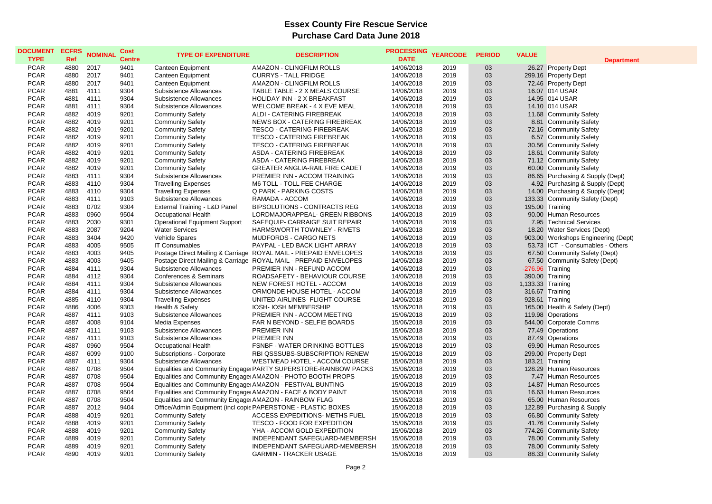| <b>DOCUMENT</b><br><b>TYPE</b> | <b>ECFRS</b><br><b>Ref</b> | <b>NOMINAL</b> | <b>Cost</b><br><b>Centre</b> | <b>TYPE OF EXPENDITURE</b>                                 | <b>DESCRIPTION</b>                                               | <b>PROCESSING</b><br><b>DATE</b> | <b>YEARCODE</b> | <b>PERIOD</b> | <b>VALUE</b>      | <b>Department</b>                   |
|--------------------------------|----------------------------|----------------|------------------------------|------------------------------------------------------------|------------------------------------------------------------------|----------------------------------|-----------------|---------------|-------------------|-------------------------------------|
| <b>PCAR</b>                    | 4880                       | 2017           | 9401                         | Canteen Equipment                                          | AMAZON - CLINGFILM ROLLS                                         | 14/06/2018                       | 2019            | 03            |                   | 26.27 Property Dept                 |
| <b>PCAR</b>                    | 4880                       | 2017           | 9401                         | Canteen Equipment                                          | <b>CURRYS - TALL FRIDGE</b>                                      | 14/06/2018                       | 2019            | 03            |                   | 299.16 Property Dept                |
| <b>PCAR</b>                    | 4880                       | 2017           | 9401                         | Canteen Equipment                                          | AMAZON - CLINGFILM ROLLS                                         | 14/06/2018                       | 2019            | 03            |                   | 72.46 Property Dept                 |
| <b>PCAR</b>                    | 4881                       | 4111           | 9304                         | <b>Subsistence Allowances</b>                              | TABLE TABLE - 2 X MEALS COURSE                                   | 14/06/2018                       | 2019            | 03            |                   | 16.07 014 USAR                      |
| <b>PCAR</b>                    | 4881                       | 4111           | 9304                         | Subsistence Allowances                                     | HOLIDAY INN - 2 X BREAKFAST                                      | 14/06/2018                       | 2019            | 03            |                   | 14.95 014 USAR                      |
| <b>PCAR</b>                    | 4881                       | 4111           | 9304                         | <b>Subsistence Allowances</b>                              | WELCOME BREAK - 4 X EVE MEAL                                     | 14/06/2018                       | 2019            | 03            |                   | 14.10 014 USAR                      |
| <b>PCAR</b>                    | 4882                       | 4019           | 9201                         | <b>Community Safety</b>                                    | ALDI - CATERING FIREBREAK                                        | 14/06/2018                       | 2019            | 03            |                   | 11.68 Community Safety              |
| <b>PCAR</b>                    | 4882                       | 4019           | 9201                         | <b>Community Safety</b>                                    | NEWS BOX - CATERING FIREBREAK                                    | 14/06/2018                       | 2019            | 03            |                   | 8.81 Community Safety               |
| <b>PCAR</b>                    | 4882                       | 4019           | 9201                         | <b>Community Safety</b>                                    | <b>TESCO - CATERING FIREBREAK</b>                                | 14/06/2018                       | 2019            | 03            |                   | 72.16 Community Safety              |
| <b>PCAR</b>                    | 4882                       | 4019           | 9201                         | <b>Community Safety</b>                                    | <b>TESCO - CATERING FIREBREAK</b>                                | 14/06/2018                       | 2019            | 03            |                   | 6.57 Community Safety               |
| <b>PCAR</b>                    | 4882                       | 4019           | 9201                         | <b>Community Safety</b>                                    | <b>TESCO - CATERING FIREBREAK</b>                                | 14/06/2018                       | 2019            | 03            |                   | 30.56 Community Safety              |
| <b>PCAR</b>                    | 4882                       | 4019           | 9201                         | <b>Community Safety</b>                                    | ASDA - CATERING FIREBREAK                                        | 14/06/2018                       | 2019            | 03            |                   | 18.61 Community Safety              |
| <b>PCAR</b>                    | 4882                       | 4019           | 9201                         | <b>Community Safety</b>                                    | ASDA - CATERING FIREBREAK                                        | 14/06/2018                       | 2019            | 03            |                   | 71.12 Community Safety              |
| <b>PCAR</b>                    | 4882                       | 4019           | 9201                         | <b>Community Safety</b>                                    | <b>GREATER ANGLIA-RAIL FIRE CADET</b>                            | 14/06/2018                       | 2019            | 03            |                   | 60.00 Community Safety              |
| <b>PCAR</b>                    | 4883                       | 4111           | 9304                         | Subsistence Allowances                                     | PREMIER INN - ACCOM TRAINING                                     | 14/06/2018                       | 2019            | 03            |                   | 86.65 Purchasing & Supply (Dept)    |
| <b>PCAR</b>                    | 4883                       | 4110           | 9304                         | <b>Travelling Expenses</b>                                 | M6 TOLL - TOLL FEE CHARGE                                        | 14/06/2018                       | 2019            | 03            |                   | 4.92 Purchasing & Supply (Dept)     |
| <b>PCAR</b>                    | 4883                       | 4110           | 9304                         | <b>Travelling Expenses</b>                                 | Q PARK - PARKING COSTS                                           | 14/06/2018                       | 2019            | 03            |                   | 14.00 Purchasing & Supply (Dept)    |
| <b>PCAR</b>                    | 4883                       | 4111           | 9103                         | Subsistence Allowances                                     | RAMADA - ACCOM                                                   | 14/06/2018                       | 2019            | 03            |                   | 133.33 Community Safety (Dept)      |
| <b>PCAR</b>                    | 4883                       | 0702           | 9304                         | External Training - L&D Panel                              | <b>BIPSOLUTIONS - CONTRACTS REG</b>                              | 14/06/2018                       | 2019            | 03            |                   | 195.00 Training                     |
| <b>PCAR</b>                    | 4883                       | 0960           | 9504                         | Occupational Health                                        | LORDMAJORAPPEAL- GREEN RIBBONS                                   | 14/06/2018                       | 2019            | 03            |                   | 90.00 Human Resources               |
| <b>PCAR</b>                    | 4883                       | 2030           | 9301                         | <b>Operational Equipment Support</b>                       | SAFEQUIP- CARRAIGE SUIT REPAIR                                   | 14/06/2018                       | 2019            | 03            |                   | 7.95 Technical Services             |
| <b>PCAR</b>                    | 4883                       | 2087           | 9204                         | <b>Water Services</b>                                      | HARMSWORTH TOWNLEY - RIVETS                                      | 14/06/2018                       | 2019            | 03            |                   | 18.20 Water Services (Dept)         |
| <b>PCAR</b>                    | 4883                       | 3404           | 9420                         | <b>Vehicle Spares</b>                                      | <b>MUDFORDS - CARGO NETS</b>                                     | 14/06/2018                       | 2019            | 03            |                   | 903.00 Workshops Engineering (Dept) |
| <b>PCAR</b>                    | 4883                       | 4005           | 9505                         | <b>IT Consumables</b>                                      | PAYPAL - LED BACK LIGHT ARRAY                                    | 14/06/2018                       | 2019            | 03            |                   | 53.73 ICT - Consumables - Others    |
| <b>PCAR</b>                    | 4883                       | 4003           | 9405                         |                                                            | Postage Direct Mailing & Carriage ROYAL MAIL - PREPAID ENVELOPES | 14/06/2018                       | 2019            | 03            |                   | 67.50 Community Safety (Dept)       |
| <b>PCAR</b>                    | 4883                       | 4003           | 9405                         |                                                            | Postage Direct Mailing & Carriage ROYAL MAIL - PREPAID ENVELOPES | 14/06/2018                       | 2019            | 03            |                   | 67.50 Community Safety (Dept)       |
| <b>PCAR</b>                    | 4884                       | 4111           | 9304                         | Subsistence Allowances                                     | PREMIER INN - REFUND ACCOM                                       | 14/06/2018                       | 2019            | 03            | -276.96 Training  |                                     |
| <b>PCAR</b>                    | 4884                       | 4112           | 9304                         | Conferences & Seminars                                     | ROADSAFETY - BEHAVIOUR COURSE                                    | 14/06/2018                       | 2019            | 03            |                   | 390.00 Training                     |
| <b>PCAR</b>                    | 4884                       | 4111           | 9304                         | Subsistence Allowances                                     | NEW FOREST HOTEL - ACCOM                                         | 14/06/2018                       | 2019            | 03            | 1,133.33 Training |                                     |
| <b>PCAR</b>                    | 4884                       | 4111           | 9304                         | Subsistence Allowances                                     | ORMONDE HOUSE HOTEL - ACCOM                                      | 14/06/2018                       | 2019            | 03            |                   | 316.67 Training                     |
| <b>PCAR</b>                    | 4885                       | 4110           | 9304                         | <b>Travelling Expenses</b>                                 | UNITED AIRLINES- FLIGHT COURSE                                   | 14/06/2018                       | 2019            | 03            |                   | 928.61 Training                     |
| <b>PCAR</b>                    | 4886                       | 4006           | 9303                         | Health & Safety                                            | IOSH- IOSH MEMBERSHIP                                            | 15/06/2018                       | 2019            | 03            |                   | 165.00 Health & Safety (Dept)       |
| <b>PCAR</b>                    | 4887                       | 4111           | 9103                         | Subsistence Allowances                                     | PREMIER INN - ACCOM MEETING                                      | 15/06/2018                       | 2019            | 03            |                   | 119.98 Operations                   |
| <b>PCAR</b>                    | 4887                       | 4008           | 9104                         | Media Expenses                                             | FAR N BEYOND - SELFIE BOARDS                                     | 15/06/2018                       | 2019            | 03            |                   | 544.00 Corporate Comms              |
| <b>PCAR</b>                    | 4887                       | 4111           | 9103                         | Subsistence Allowances                                     | PREMIER INN                                                      | 15/06/2018                       | 2019            | 03            |                   | 77.49 Operations                    |
| <b>PCAR</b>                    | 4887                       | 4111           | 9103                         | Subsistence Allowances                                     | PREMIER INN                                                      | 15/06/2018                       | 2019            | 03            |                   | 87.49 Operations                    |
| <b>PCAR</b>                    | 4887                       | 0960           | 9504                         | <b>Occupational Health</b>                                 | <b>FSNBF - WATER DRINKING BOTTLES</b>                            | 15/06/2018                       | 2019            | 03            |                   | 69.90 Human Resources               |
| <b>PCAR</b>                    | 4887                       | 6099           | 9100                         | Subscriptions - Corporate                                  | RBI QSSSUBS-SUBSCRIPTION RENEW                                   | 15/06/2018                       | 2019            | 03            |                   | 299.00 Property Dept                |
| <b>PCAR</b>                    | 4887                       | 4111           | 9304                         | Subsistence Allowances                                     | WESTMEAD HOTEL - ACCOM COURSE                                    | 15/06/2018                       | 2019            | 03            |                   | 183.21 Training                     |
| <b>PCAR</b>                    | 4887                       | 0708           | 9504                         |                                                            | Equalities and Community Engage PARTY SUPERSTORE-RAINBOW PACKS   | 15/06/2018                       | 2019            | 03            |                   | 128.29 Human Resources              |
| <b>PCAR</b>                    | 4887                       | 0708           | 9504                         |                                                            | Equalities and Community Engage AMAZON - PHOTO BOOTH PROPS       | 15/06/2018                       | 2019            | 03            |                   | 7.47 Human Resources                |
| <b>PCAR</b>                    | 4887                       | 0708           | 9504                         | Equalities and Community Engage AMAZON - FESTIVAL BUNTING  |                                                                  | 15/06/2018                       | 2019            | 03            |                   | 14.87 Human Resources               |
| <b>PCAR</b>                    | 4887                       | 0708           | 9504                         | Equalities and Community Engage AMAZON - FACE & BODY PAINT |                                                                  | 15/06/2018                       | 2019            | 03            |                   | 16.63 Human Resources               |
| <b>PCAR</b>                    | 4887                       | 0708           | 9504                         | Equalities and Community Engage AMAZON - RAINBOW FLAG      |                                                                  | 15/06/2018                       | 2019            | 03            |                   | 65.00 Human Resources               |
| <b>PCAR</b>                    | 4887                       | 2012           | 9404                         |                                                            | Office/Admin Equipment (incl copic PAPERSTONE - PLASTIC BOXES    | 15/06/2018                       | 2019            | 03            |                   | 122.89 Purchasing & Supply          |
| <b>PCAR</b>                    | 4888                       | 4019           | 9201                         | <b>Community Safety</b>                                    | ACCESS EXPEDITIONS- METHS FUEL                                   | 15/06/2018                       | 2019            | 03            |                   | 66.80 Community Safety              |
| <b>PCAR</b>                    | 4888                       | 4019           | 9201                         | <b>Community Safety</b>                                    | TESCO - FOOD FOR EXPEDITION                                      | 15/06/2018                       | 2019            | 03            |                   | 41.76 Community Safety              |
| <b>PCAR</b>                    | 4888                       | 4019           | 9201                         | <b>Community Safety</b>                                    | YHA - ACCOM GOLD EXPEDITION                                      | 15/06/2018                       | 2019            | 03            |                   | 774.26 Community Safety             |
| <b>PCAR</b>                    | 4889                       | 4019           | 9201                         | <b>Community Safety</b>                                    | INDEPENDANT SAFEGUARD-MEMBERSH                                   | 15/06/2018                       | 2019            | 03            |                   | 78.00 Community Safety              |
| <b>PCAR</b>                    | 4889                       | 4019           | 9201                         | <b>Community Safety</b>                                    | INDEPENDANT SAFEGUARD-MEMBERSH                                   | 15/06/2018                       | 2019            | 03            |                   | 78.00 Community Safety              |
| <b>PCAR</b>                    | 4890                       | 4019           | 9201                         | <b>Community Safety</b>                                    | <b>GARMIN - TRACKER USAGE</b>                                    | 15/06/2018                       | 2019            | 03            |                   | 88.33 Community Safety              |
|                                |                            |                |                              |                                                            |                                                                  |                                  |                 |               |                   |                                     |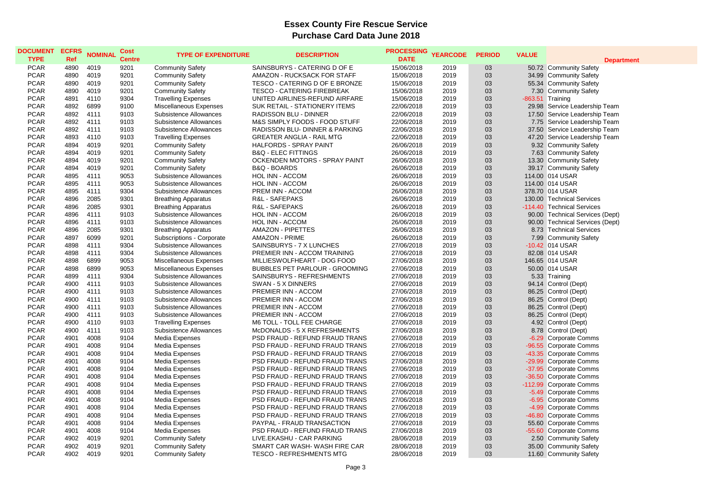| <b>DOCUMENT</b><br><b>TYPE</b> | <b>ECFRS</b><br>Ref | <b>NOMINAL</b> | Cost<br><b>Centre</b> | <b>TYPE OF EXPENDITURE</b>    | <b>DESCRIPTION</b>                        | <b>PROCESSING</b><br><b>DATE</b> | <b>YEARCODE</b> | <b>PERIOD</b> | <b>VALUE</b>     | <b>Department</b>               |
|--------------------------------|---------------------|----------------|-----------------------|-------------------------------|-------------------------------------------|----------------------------------|-----------------|---------------|------------------|---------------------------------|
| <b>PCAR</b>                    | 4890                | 4019           | 9201                  | <b>Community Safety</b>       | SAINSBURYS - CATERING D OF E              | 15/06/2018                       | 2019            | 03            |                  | 50.72 Community Safety          |
| <b>PCAR</b>                    | 4890                | 4019           | 9201                  | <b>Community Safety</b>       | AMAZON - RUCKSACK FOR STAFF               | 15/06/2018                       | 2019            | 03            |                  | 34.99 Community Safety          |
| <b>PCAR</b>                    | 4890                | 4019           | 9201                  | <b>Community Safety</b>       | TESCO - CATERING D OF E BRONZE            | 15/06/2018                       | 2019            | 03            |                  | 55.34 Community Safety          |
| <b>PCAR</b>                    | 4890                | 4019           | 9201                  | <b>Community Safety</b>       | <b>TESCO - CATERING FIREBREAK</b>         | 15/06/2018                       | 2019            | 03            |                  | 7.30 Community Safety           |
| <b>PCAR</b>                    | 4891                | 4110           | 9304                  | <b>Travelling Expenses</b>    | UNITED AIRLINES-REFUND AIRFARE            | 15/06/2018                       | 2019            | 03            | -863.51 Training |                                 |
| <b>PCAR</b>                    | 4892                | 6899           | 9100                  | Miscellaneous Expenses        | SUK RETAIL - STATIONERY ITEMS             | 22/06/2018                       | 2019            | 03            |                  | 29.98 Service Leadership Team   |
| <b>PCAR</b>                    | 4892                | 4111           | 9103                  | Subsistence Allowances        | RADISSON BLU - DINNER                     | 22/06/2018                       | 2019            | 03            |                  | 17.50 Service Leadership Team   |
| <b>PCAR</b>                    | 4892                | 4111           | 9103                  | Subsistence Allowances        | M&S SIMPLY FOODS - FOOD STUFF             | 22/06/2018                       | 2019            | 03            |                  | 7.75 Service Leadership Team    |
| <b>PCAR</b>                    | 4892                | 4111           | 9103                  | Subsistence Allowances        | <b>RADISSON BLU- DINNER &amp; PARKING</b> | 22/06/2018                       | 2019            | 03            |                  | 37.50 Service Leadership Team   |
| <b>PCAR</b>                    | 4893                | 4110           | 9103                  | <b>Travelling Expenses</b>    | <b>GREATER ANGLIA - RAIL MTG</b>          | 22/06/2018                       | 2019            | 03            |                  | 47.20 Service Leadership Team   |
| <b>PCAR</b>                    | 4894                | 4019           | 9201                  | <b>Community Safety</b>       | HALFORDS - SPRAY PAINT                    | 26/06/2018                       | 2019            | 03            |                  | 9.32 Community Safety           |
| <b>PCAR</b>                    | 4894                | 4019           | 9201                  | <b>Community Safety</b>       | <b>B&amp;Q - ELEC FITTINGS</b>            | 26/06/2018                       | 2019            | 03            |                  | 7.63 Community Safety           |
| <b>PCAR</b>                    | 4894                | 4019           | 9201                  | <b>Community Safety</b>       | <b>OCKENDEN MOTORS - SPRAY PAINT</b>      | 26/06/2018                       | 2019            | 03            |                  | 13.30 Community Safety          |
| <b>PCAR</b>                    | 4894                | 4019           | 9201                  | <b>Community Safety</b>       | B&Q - BOARDS                              | 26/06/2018                       | 2019            | 03            |                  | 39.17 Community Safety          |
| <b>PCAR</b>                    | 4895                | 4111           | 9053                  | Subsistence Allowances        | HOL INN - ACCOM                           | 26/06/2018                       | 2019            | 03            |                  | 114.00 014 USAR                 |
| <b>PCAR</b>                    | 4895                | 4111           | 9053                  | Subsistence Allowances        | HOL INN - ACCOM                           | 26/06/2018                       | 2019            | 03            |                  | 114.00 014 USAR                 |
| <b>PCAR</b>                    | 4895                | 4111           | 9304                  | Subsistence Allowances        | PREM INN - ACCOM                          | 26/06/2018                       | 2019            | 03            |                  | 378.70 014 USAR                 |
| <b>PCAR</b>                    | 4896                | 2085           | 9301                  | <b>Breathing Apparatus</b>    | R&L - SAFEPAKS                            | 26/06/2018                       | 2019            | 03            |                  | 130.00 Technical Services       |
| <b>PCAR</b>                    | 4896                | 2085           | 9301                  | <b>Breathing Apparatus</b>    | R&L - SAFEPAKS                            | 26/06/2018                       | 2019            | 03            |                  | -114.40 Technical Services      |
| <b>PCAR</b>                    | 4896                | 4111           | 9103                  | Subsistence Allowances        | HOL INN - ACCOM                           | 26/06/2018                       | 2019            | 03            |                  | 90.00 Technical Services (Dept) |
| <b>PCAR</b>                    | 4896                | 4111           | 9103                  | Subsistence Allowances        | HOL INN - ACCOM                           | 26/06/2018                       | 2019            | 03            |                  | 90.00 Technical Services (Dept) |
| <b>PCAR</b>                    | 4896                | 2085           | 9301                  | <b>Breathing Apparatus</b>    | <b>AMAZON - PIPETTES</b>                  | 26/06/2018                       | 2019            | 03            |                  | 8.73 Technical Services         |
| <b>PCAR</b>                    | 4897                | 6099           | 9201                  | Subscriptions - Corporate     | <b>AMAZON - PRIME</b>                     | 26/06/2018                       | 2019            | 03            |                  | 7.99 Community Safety           |
| <b>PCAR</b>                    | 4898                | 4111           | 9304                  | <b>Subsistence Allowances</b> | SAINSBURYS - 7 X LUNCHES                  | 27/06/2018                       | 2019            | 03            |                  | -10.42 014 USAR                 |
| <b>PCAR</b>                    | 4898                | 4111           | 9304                  | Subsistence Allowances        | PREMIER INN - ACCOM TRAINING              | 27/06/2018                       | 2019            | 03            |                  | 82.08 014 USAR                  |
| <b>PCAR</b>                    | 4898                | 6899           | 9053                  | Miscellaneous Expenses        | MILLIESWOLFHEART - DOG FOOD               | 27/06/2018                       | 2019            | 03            |                  | 146.65 014 USAR                 |
| <b>PCAR</b>                    | 4898                | 6899           | 9053                  | Miscellaneous Expenses        | <b>BUBBLES PET PARLOUR - GROOMING</b>     | 27/06/2018                       | 2019            | 03            |                  | 50.00 014 USAR                  |
| <b>PCAR</b>                    | 4899                | 4111           | 9304                  | <b>Subsistence Allowances</b> | SAINSBURYS - REFRESHMENTS                 | 27/06/2018                       | 2019            | 03            |                  | 5.33 Training                   |
| <b>PCAR</b>                    | 4900                | 4111           | 9103                  | Subsistence Allowances        | SWAN - 5 X DINNERS                        | 27/06/2018                       | 2019            | 03            |                  | 94.14 Control (Dept)            |
| <b>PCAR</b>                    | 4900                | 4111           | 9103                  | Subsistence Allowances        | PREMIER INN - ACCOM                       | 27/06/2018                       | 2019            | 03            |                  | 86.25 Control (Dept)            |
| <b>PCAR</b>                    | 4900                | 4111           | 9103                  | Subsistence Allowances        | PREMIER INN - ACCOM                       | 27/06/2018                       | 2019            | 03            |                  | 86.25 Control (Dept)            |
| <b>PCAR</b>                    | 4900                | 4111           | 9103                  | Subsistence Allowances        | PREMIER INN - ACCOM                       | 27/06/2018                       | 2019            | 03            |                  | 86.25 Control (Dept)            |
| <b>PCAR</b>                    | 4900                | 4111           | 9103                  | Subsistence Allowances        | <b>PREMIER INN - ACCOM</b>                | 27/06/2018                       | 2019            | 03            |                  | 86.25 Control (Dept)            |
| <b>PCAR</b>                    | 4900                | 4110           | 9103                  | <b>Travelling Expenses</b>    | M6 TOLL - TOLL FEE CHARGE                 | 27/06/2018                       | 2019            | 03            |                  | 4.92 Control (Dept)             |
| <b>PCAR</b>                    | 4900                | 4111           | 9103                  | Subsistence Allowances        | McDONALDS - 5 X REFRESHMENTS              | 27/06/2018                       | 2019            | 03            |                  | 8.78 Control (Dept)             |
| <b>PCAR</b>                    | 4901                | 4008           | 9104                  | Media Expenses                | PSD FRAUD - REFUND FRAUD TRANS            | 27/06/2018                       | 2019            | 03            |                  | -6.29 Corporate Comms           |
| <b>PCAR</b>                    | 4901                | 4008           | 9104                  | Media Expenses                | PSD FRAUD - REFUND FRAUD TRANS            | 27/06/2018                       | 2019            | 03            |                  | -96.55 Corporate Comms          |
| <b>PCAR</b>                    | 4901                | 4008           | 9104                  | Media Expenses                | PSD FRAUD - REFUND FRAUD TRANS            | 27/06/2018                       | 2019            | 03            |                  | -43.35 Corporate Comms          |
| <b>PCAR</b>                    | 4901                | 4008           | 9104                  | Media Expenses                | PSD FRAUD - REFUND FRAUD TRANS            | 27/06/2018                       | 2019            | 03            |                  | -29.99 Corporate Comms          |
| <b>PCAR</b>                    | 4901                | 4008           | 9104                  | Media Expenses                | PSD FRAUD - REFUND FRAUD TRANS            | 27/06/2018                       | 2019            | 03            |                  | -37.95 Corporate Comms          |
| <b>PCAR</b>                    | 4901                | 4008           | 9104                  | Media Expenses                | PSD FRAUD - REFUND FRAUD TRANS            | 27/06/2018                       | 2019            | 03            |                  | -36.50 Corporate Comms          |
| <b>PCAR</b>                    | 4901                | 4008           | 9104                  | Media Expenses                | PSD FRAUD - REFUND FRAUD TRANS            | 27/06/2018                       | 2019            | 03            |                  | -112.99 Corporate Comms         |
| <b>PCAR</b>                    | 4901                | 4008           | 9104                  | Media Expenses                | PSD FRAUD - REFUND FRAUD TRANS            | 27/06/2018                       | 2019            | 03            |                  | -5.49 Corporate Comms           |
| <b>PCAR</b>                    | 4901                | 4008           | 9104                  | Media Expenses                | PSD FRAUD - REFUND FRAUD TRANS            | 27/06/2018                       | 2019            | 03            |                  | -6.95 Corporate Comms           |
| <b>PCAR</b>                    | 4901                | 4008           | 9104                  | Media Expenses                | PSD FRAUD - REFUND FRAUD TRANS            | 27/06/2018                       | 2019            | 03            |                  | -4.99 Corporate Comms           |
| <b>PCAR</b>                    | 4901                | 4008           | 9104                  | Media Expenses                | PSD FRAUD - REFUND FRAUD TRANS            | 27/06/2018                       | 2019            | 03            |                  | -46.80 Corporate Comms          |
| <b>PCAR</b>                    | 4901                | 4008           | 9104                  | Media Expenses                | PAYPAL - FRAUD TRANSACTION                | 27/06/2018                       | 2019            | 03            |                  | 55.60 Corporate Comms           |
| <b>PCAR</b>                    | 4901                | 4008           | 9104                  | Media Expenses                | PSD FRAUD - REFUND FRAUD TRANS            | 27/06/2018                       | 2019            | 03            |                  | -55.60 Corporate Comms          |
| <b>PCAR</b>                    | 4902                | 4019           | 9201                  | <b>Community Safety</b>       | LIVE.EKASHU - CAR PARKING                 | 28/06/2018                       | 2019            | 03            |                  | 2.50 Community Safety           |
| <b>PCAR</b>                    | 4902                | 4019           | 9201                  | <b>Community Safety</b>       | SMART CAR WASH-WASH FIRE CAR              | 28/06/2018                       | 2019            | 03            |                  | 35.00 Community Safety          |
| <b>PCAR</b>                    | 4902                | 4019           | 9201                  | <b>Community Safety</b>       | <b>TESCO - REFRESHMENTS MTG</b>           | 28/06/2018                       | 2019            | 03            |                  | 11.60 Community Safety          |